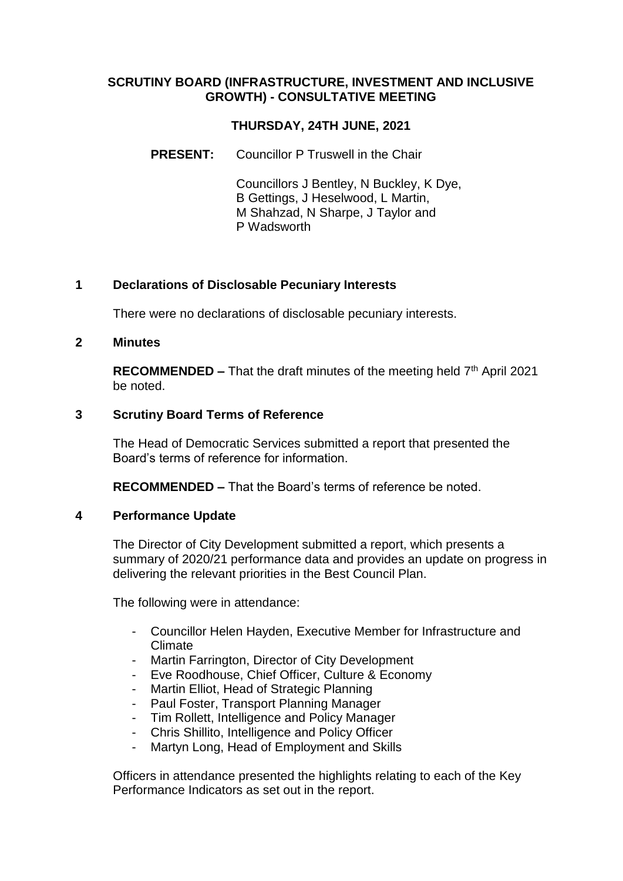## **SCRUTINY BOARD (INFRASTRUCTURE, INVESTMENT AND INCLUSIVE GROWTH) - CONSULTATIVE MEETING**

# **THURSDAY, 24TH JUNE, 2021**

**PRESENT:** Councillor P Truswell in the Chair

Councillors J Bentley, N Buckley, K Dye, B Gettings, J Heselwood, L Martin, M Shahzad, N Sharpe, J Taylor and P Wadsworth

## **1 Declarations of Disclosable Pecuniary Interests**

There were no declarations of disclosable pecuniary interests.

### **2 Minutes**

**RECOMMENDED –** That the draft minutes of the meeting held 7<sup>th</sup> April 2021 be noted.

## **3 Scrutiny Board Terms of Reference**

The Head of Democratic Services submitted a report that presented the Board's terms of reference for information.

**RECOMMENDED –** That the Board's terms of reference be noted.

## **4 Performance Update**

The Director of City Development submitted a report, which presents a summary of 2020/21 performance data and provides an update on progress in delivering the relevant priorities in the Best Council Plan.

The following were in attendance:

- Councillor Helen Hayden, Executive Member for Infrastructure and Climate
- Martin Farrington, Director of City Development
- Eve Roodhouse, Chief Officer, Culture & Economy
- Martin Elliot, Head of Strategic Planning
- Paul Foster, Transport Planning Manager
- Tim Rollett, Intelligence and Policy Manager
- Chris Shillito, Intelligence and Policy Officer
- Martyn Long, Head of Employment and Skills

Officers in attendance presented the highlights relating to each of the Key Performance Indicators as set out in the report.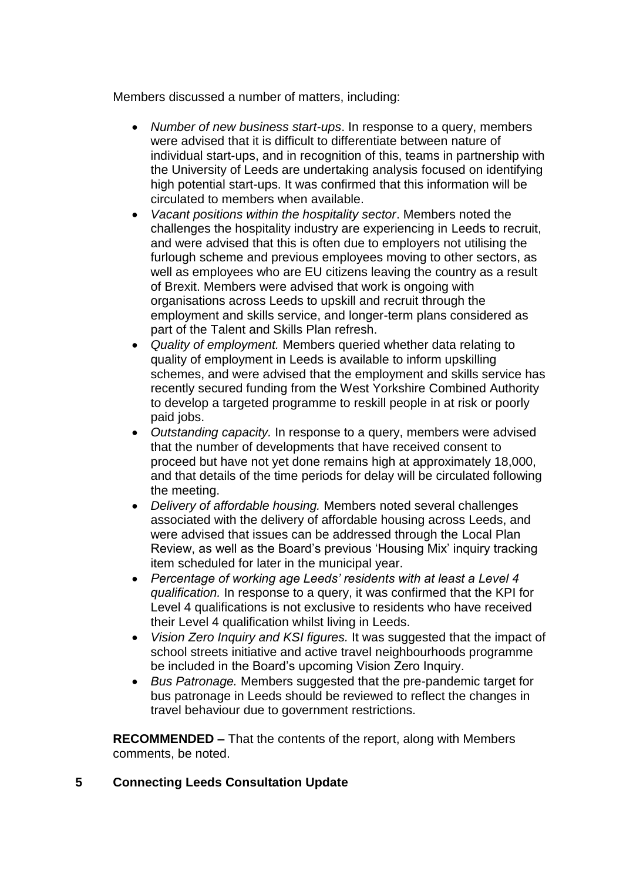Members discussed a number of matters, including:

- *Number of new business start-ups*. In response to a query, members were advised that it is difficult to differentiate between nature of individual start-ups, and in recognition of this, teams in partnership with the University of Leeds are undertaking analysis focused on identifying high potential start-ups. It was confirmed that this information will be circulated to members when available.
- *Vacant positions within the hospitality sector*. Members noted the challenges the hospitality industry are experiencing in Leeds to recruit, and were advised that this is often due to employers not utilising the furlough scheme and previous employees moving to other sectors, as well as employees who are EU citizens leaving the country as a result of Brexit. Members were advised that work is ongoing with organisations across Leeds to upskill and recruit through the employment and skills service, and longer-term plans considered as part of the Talent and Skills Plan refresh.
- *Quality of employment.* Members queried whether data relating to quality of employment in Leeds is available to inform upskilling schemes, and were advised that the employment and skills service has recently secured funding from the West Yorkshire Combined Authority to develop a targeted programme to reskill people in at risk or poorly paid jobs.
- *Outstanding capacity.* In response to a query, members were advised that the number of developments that have received consent to proceed but have not yet done remains high at approximately 18,000, and that details of the time periods for delay will be circulated following the meeting.
- *Delivery of affordable housing.* Members noted several challenges associated with the delivery of affordable housing across Leeds, and were advised that issues can be addressed through the Local Plan Review, as well as the Board's previous 'Housing Mix' inquiry tracking item scheduled for later in the municipal year.
- *Percentage of working age Leeds' residents with at least a Level 4 qualification.* In response to a query, it was confirmed that the KPI for Level 4 qualifications is not exclusive to residents who have received their Level 4 qualification whilst living in Leeds.
- *Vision Zero Inquiry and KSI figures.* It was suggested that the impact of school streets initiative and active travel neighbourhoods programme be included in the Board's upcoming Vision Zero Inquiry.
- *Bus Patronage.* Members suggested that the pre-pandemic target for bus patronage in Leeds should be reviewed to reflect the changes in travel behaviour due to government restrictions.

**RECOMMENDED –** That the contents of the report, along with Members comments, be noted.

# **5 Connecting Leeds Consultation Update**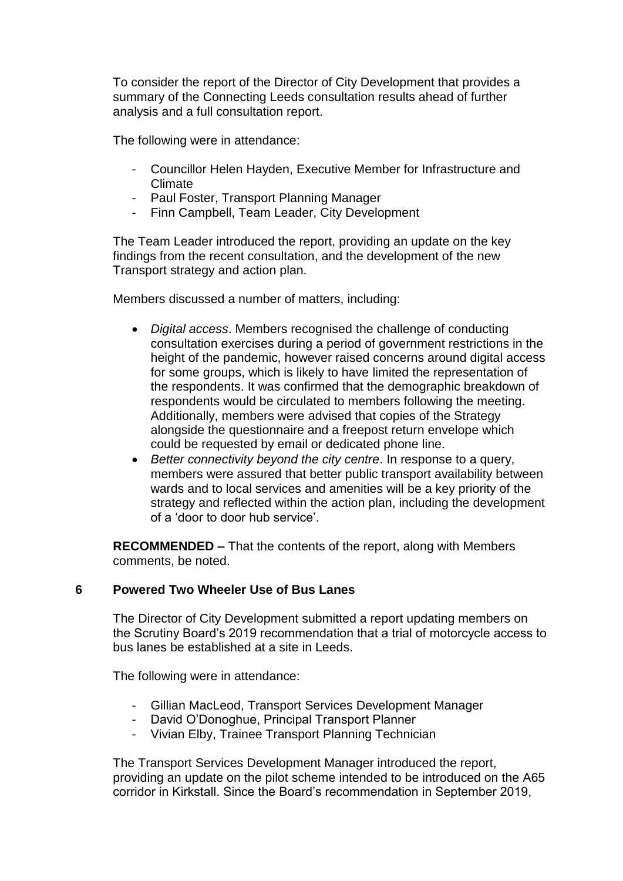To consider the report of the Director of City Development that provides a summary of the Connecting Leeds consultation results ahead of further analysis and a full consultation report.

The following were in attendance:

- Councillor Helen Hayden, Executive Member for Infrastructure and Climate
- Paul Foster, Transport Planning Manager
- Finn Campbell, Team Leader, City Development

The Team Leader introduced the report, providing an update on the key findings from the recent consultation, and the development of the new Transport strategy and action plan.

Members discussed a number of matters, including:

- *Digital access*. Members recognised the challenge of conducting consultation exercises during a period of government restrictions in the height of the pandemic, however raised concerns around digital access for some groups, which is likely to have limited the representation of the respondents. It was confirmed that the demographic breakdown of respondents would be circulated to members following the meeting. Additionally, members were advised that copies of the Strategy alongside the questionnaire and a freepost return envelope which could be requested by email or dedicated phone line.
- *Better connectivity beyond the city centre*. In response to a query, members were assured that better public transport availability between wards and to local services and amenities will be a key priority of the strategy and reflected within the action plan, including the development of a 'door to door hub service'.

**RECOMMENDED –** That the contents of the report, along with Members comments, be noted.

## **6 Powered Two Wheeler Use of Bus Lanes**

The Director of City Development submitted a report updating members on the Scrutiny Board's 2019 recommendation that a trial of motorcycle access to bus lanes be established at a site in Leeds.

The following were in attendance:

- Gillian MacLeod, Transport Services Development Manager
- David O'Donoghue, Principal Transport Planner
- Vivian Elby, Trainee Transport Planning Technician

The Transport Services Development Manager introduced the report, providing an update on the pilot scheme intended to be introduced on the A65 corridor in Kirkstall. Since the Board's recommendation in September 2019,